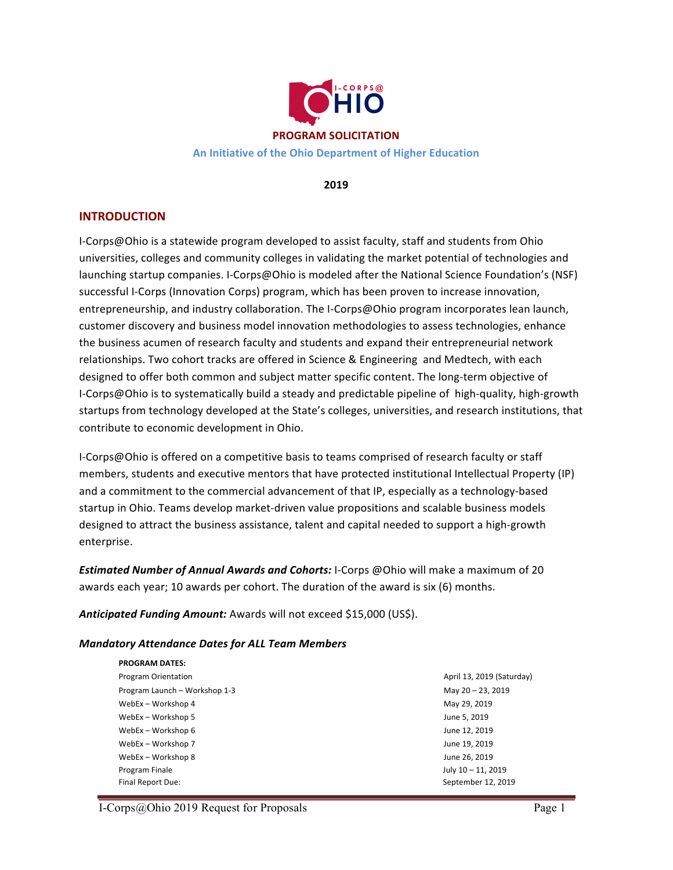

**2019**

# **INTRODUCTION**

I-Corps@Ohio is a statewide program developed to assist faculty, staff and students from Ohio universities, colleges and community colleges in validating the market potential of technologies and launching startup companies. I-Corps@Ohio is modeled after the National Science Foundation's (NSF) successful I-Corps (Innovation Corps) program, which has been proven to increase innovation, entrepreneurship, and industry collaboration. The I-Corps@Ohio program incorporates lean launch, customer discovery and business model innovation methodologies to assess technologies, enhance the business acumen of research faculty and students and expand their entrepreneurial network relationships. Two cohort tracks are offered in Science & Engineering and Medtech, with each designed to offer both common and subject matter specific content. The long-term objective of I-Corps@Ohio is to systematically build a steady and predictable pipeline of high-quality, high-growth startups from technology developed at the State's colleges, universities, and research institutions, that contribute to economic development in Ohio.

I-Corps@Ohio is offered on a competitive basis to teams comprised of research faculty or staff members, students and executive mentors that have protected institutional Intellectual Property (IP) and a commitment to the commercial advancement of that IP, especially as a technology-based startup in Ohio. Teams develop market-driven value propositions and scalable business models designed to attract the business assistance, talent and capital needed to support a high-growth enterprise. 

**Estimated Number of Annual Awards and Cohorts:** I-Corps @Ohio will make a maximum of 20 awards each year; 10 awards per cohort. The duration of the award is six  $(6)$  months.

**Anticipated Funding Amount:** Awards will not exceed \$15,000 (US\$).

## *Mandatory Attendance Dates for ALL Team Members*

| <b>PROGRAM DATES:</b>         |                           |
|-------------------------------|---------------------------|
| <b>Program Orientation</b>    | April 13, 2019 (Saturday) |
| Program Launch - Workshop 1-3 | May 20 - 23, 2019         |
| WebEx - Workshop 4            | May 29, 2019              |
| WebEx - Workshop 5            | June 5, 2019              |
| WebEx – Workshop 6            | June 12, 2019             |
| WebEx - Workshop 7            | June 19, 2019             |
| WebEx - Workshop 8            | June 26, 2019             |
| Program Finale                | July 10 - 11, 2019        |
| Final Report Due:             | September 12, 2019        |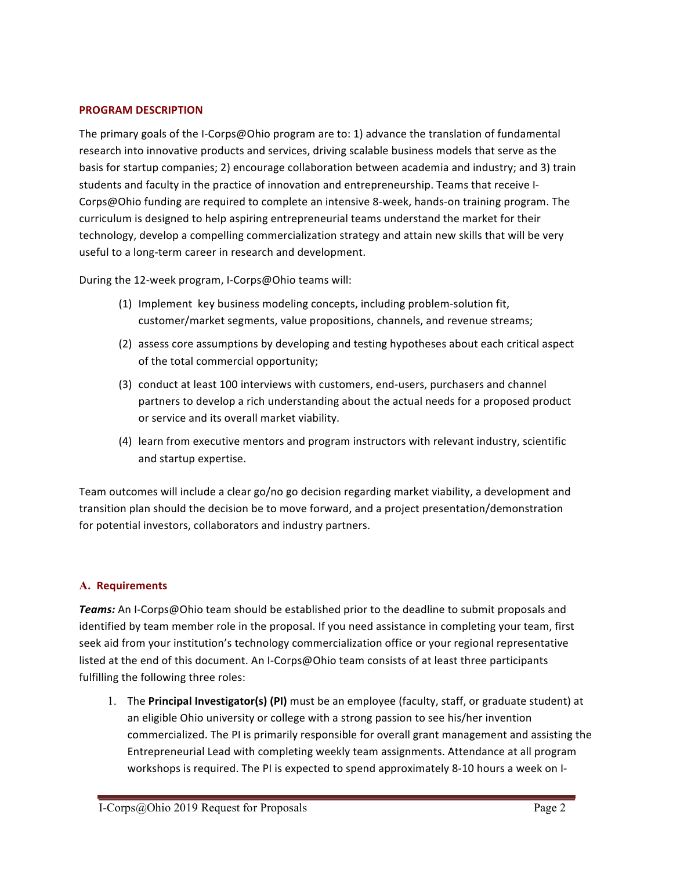## **PROGRAM DESCRIPTION**

The primary goals of the I-Corps@Ohio program are to: 1) advance the translation of fundamental research into innovative products and services, driving scalable business models that serve as the basis for startup companies; 2) encourage collaboration between academia and industry; and 3) train students and faculty in the practice of innovation and entrepreneurship. Teams that receive I-Corps@Ohio funding are required to complete an intensive 8-week, hands-on training program. The curriculum is designed to help aspiring entrepreneurial teams understand the market for their technology, develop a compelling commercialization strategy and attain new skills that will be very useful to a long-term career in research and development.

During the 12-week program, I-Corps@Ohio teams will:

- (1) Implement key business modeling concepts, including problem-solution fit, customer/market segments, value propositions, channels, and revenue streams;
- (2) assess core assumptions by developing and testing hypotheses about each critical aspect of the total commercial opportunity;
- (3) conduct at least 100 interviews with customers, end-users, purchasers and channel partners to develop a rich understanding about the actual needs for a proposed product or service and its overall market viability.
- (4) learn from executive mentors and program instructors with relevant industry, scientific and startup expertise.

Team outcomes will include a clear go/no go decision regarding market viability, a development and transition plan should the decision be to move forward, and a project presentation/demonstration for potential investors, collaborators and industry partners.

## **A. Requirements**

**Teams:** An I-Corps@Ohio team should be established prior to the deadline to submit proposals and identified by team member role in the proposal. If you need assistance in completing your team, first seek aid from your institution's technology commercialization office or your regional representative listed at the end of this document. An I-Corps@Ohio team consists of at least three participants fulfilling the following three roles:

1. The **Principal Investigator(s) (PI)** must be an employee (faculty, staff, or graduate student) at an eligible Ohio university or college with a strong passion to see his/her invention commercialized. The PI is primarily responsible for overall grant management and assisting the Entrepreneurial Lead with completing weekly team assignments. Attendance at all program workshops is required. The PI is expected to spend approximately 8-10 hours a week on I-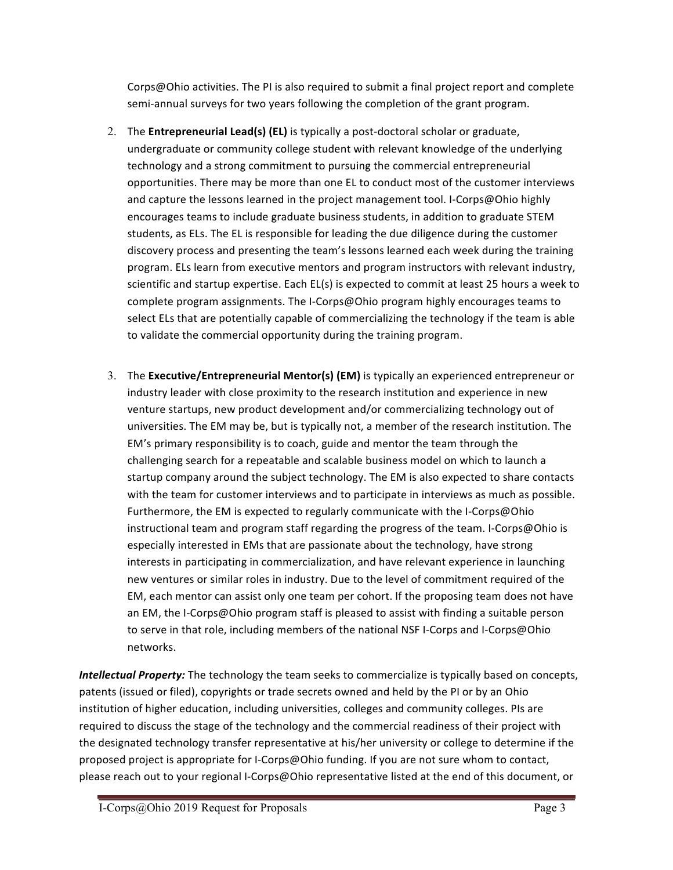Corps@Ohio activities. The PI is also required to submit a final project report and complete semi-annual surveys for two years following the completion of the grant program.

- 2. The **Entrepreneurial Lead(s) (EL)** is typically a post-doctoral scholar or graduate, undergraduate or community college student with relevant knowledge of the underlying technology and a strong commitment to pursuing the commercial entrepreneurial opportunities. There may be more than one EL to conduct most of the customer interviews and capture the lessons learned in the project management tool. I-Corps@Ohio highly encourages teams to include graduate business students, in addition to graduate STEM students, as ELs. The EL is responsible for leading the due diligence during the customer discovery process and presenting the team's lessons learned each week during the training program. ELs learn from executive mentors and program instructors with relevant industry, scientific and startup expertise. Each EL(s) is expected to commit at least 25 hours a week to complete program assignments. The I-Corps@Ohio program highly encourages teams to select ELs that are potentially capable of commercializing the technology if the team is able to validate the commercial opportunity during the training program.
- 3. The Executive/Entrepreneurial Mentor(s) (EM) is typically an experienced entrepreneur or industry leader with close proximity to the research institution and experience in new venture startups, new product development and/or commercializing technology out of universities. The EM may be, but is typically not, a member of the research institution. The EM's primary responsibility is to coach, guide and mentor the team through the challenging search for a repeatable and scalable business model on which to launch a startup company around the subject technology. The EM is also expected to share contacts with the team for customer interviews and to participate in interviews as much as possible. Furthermore, the EM is expected to regularly communicate with the I-Corps@Ohio instructional team and program staff regarding the progress of the team. I-Corps@Ohio is especially interested in EMs that are passionate about the technology, have strong interests in participating in commercialization, and have relevant experience in launching new ventures or similar roles in industry. Due to the level of commitment required of the EM, each mentor can assist only one team per cohort. If the proposing team does not have an EM, the I-Corps@Ohio program staff is pleased to assist with finding a suitable person to serve in that role, including members of the national NSF I-Corps and I-Corps@Ohio networks.

*Intellectual Property:* The technology the team seeks to commercialize is typically based on concepts, patents (issued or filed), copyrights or trade secrets owned and held by the PI or by an Ohio institution of higher education, including universities, colleges and community colleges. PIs are required to discuss the stage of the technology and the commercial readiness of their project with the designated technology transfer representative at his/her university or college to determine if the proposed project is appropriate for I-Corps@Ohio funding. If you are not sure whom to contact, please reach out to your regional I-Corps@Ohio representative listed at the end of this document, or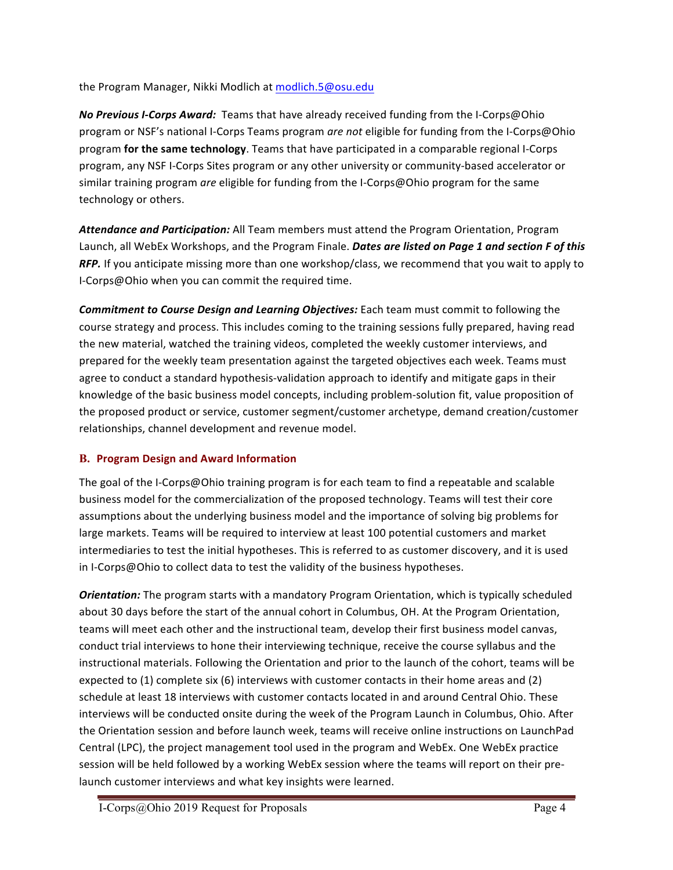the Program Manager, Nikki Modlich at modlich.5@osu.edu

**No Previous I-Corps Award:** Teams that have already received funding from the I-Corps@Ohio program or NSF's national I-Corps Teams program *are not* eligible for funding from the I-Corps@Ohio program **for the same technology**. Teams that have participated in a comparable regional I-Corps program, any NSF I-Corps Sites program or any other university or community-based accelerator or similar training program *are* eligible for funding from the I-Corps@Ohio program for the same technology or others.

Attendance and Participation: All Team members must attend the Program Orientation, Program Launch, all WebEx Workshops, and the Program Finale. *Dates are listed on Page 1 and section F of this RFP.* If you anticipate missing more than one workshop/class, we recommend that you wait to apply to I-Corps@Ohio when you can commit the required time.

**Commitment to Course Design and Learning Objectives:** Each team must commit to following the course strategy and process. This includes coming to the training sessions fully prepared, having read the new material, watched the training videos, completed the weekly customer interviews, and prepared for the weekly team presentation against the targeted objectives each week. Teams must agree to conduct a standard hypothesis-validation approach to identify and mitigate gaps in their knowledge of the basic business model concepts, including problem-solution fit, value proposition of the proposed product or service, customer segment/customer archetype, demand creation/customer relationships, channel development and revenue model.

# **B. Program Design and Award Information**

The goal of the I-Corps@Ohio training program is for each team to find a repeatable and scalable business model for the commercialization of the proposed technology. Teams will test their core assumptions about the underlying business model and the importance of solving big problems for large markets. Teams will be required to interview at least 100 potential customers and market intermediaries to test the initial hypotheses. This is referred to as customer discovery, and it is used in I-Corps@Ohio to collect data to test the validity of the business hypotheses.

**Orientation:** The program starts with a mandatory Program Orientation, which is typically scheduled about 30 days before the start of the annual cohort in Columbus, OH. At the Program Orientation, teams will meet each other and the instructional team, develop their first business model canvas, conduct trial interviews to hone their interviewing technique, receive the course syllabus and the instructional materials. Following the Orientation and prior to the launch of the cohort, teams will be expected to  $(1)$  complete six  $(6)$  interviews with customer contacts in their home areas and  $(2)$ schedule at least 18 interviews with customer contacts located in and around Central Ohio. These interviews will be conducted onsite during the week of the Program Launch in Columbus, Ohio. After the Orientation session and before launch week, teams will receive online instructions on LaunchPad Central (LPC), the project management tool used in the program and WebEx. One WebEx practice session will be held followed by a working WebEx session where the teams will report on their prelaunch customer interviews and what key insights were learned.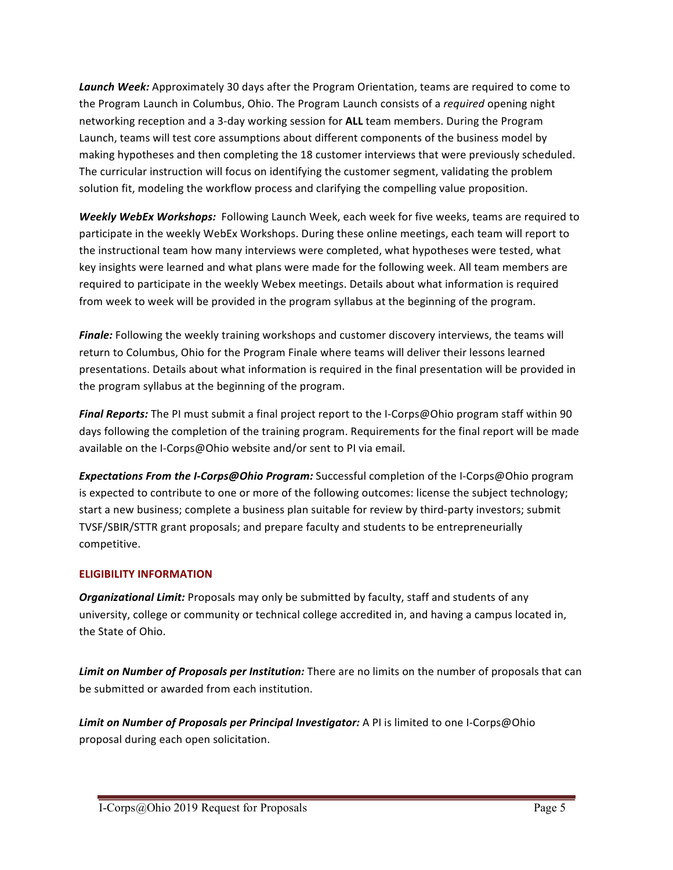*Launch Week:* Approximately 30 days after the Program Orientation, teams are required to come to the Program Launch in Columbus, Ohio. The Program Launch consists of a *required* opening night networking reception and a 3-day working session for ALL team members. During the Program Launch, teams will test core assumptions about different components of the business model by making hypotheses and then completing the 18 customer interviews that were previously scheduled. The curricular instruction will focus on identifying the customer segment, validating the problem solution fit, modeling the workflow process and clarifying the compelling value proposition.

**Weekly WebEx Workshops:** Following Launch Week, each week for five weeks, teams are required to participate in the weekly WebEx Workshops. During these online meetings, each team will report to the instructional team how many interviews were completed, what hypotheses were tested, what key insights were learned and what plans were made for the following week. All team members are required to participate in the weekly Webex meetings. Details about what information is required from week to week will be provided in the program syllabus at the beginning of the program.

**Finale:** Following the weekly training workshops and customer discovery interviews, the teams will return to Columbus, Ohio for the Program Finale where teams will deliver their lessons learned presentations. Details about what information is required in the final presentation will be provided in the program syllabus at the beginning of the program.

**Final Reports:** The PI must submit a final project report to the I-Corps@Ohio program staff within 90 days following the completion of the training program. Requirements for the final report will be made available on the I-Corps@Ohio website and/or sent to PI via email.

**Expectations From the I-Corps@Ohio Program:** Successful completion of the I-Corps@Ohio program is expected to contribute to one or more of the following outcomes: license the subject technology; start a new business; complete a business plan suitable for review by third-party investors; submit TVSF/SBIR/STTR grant proposals; and prepare faculty and students to be entrepreneurially competitive.

# **ELIGIBILITY INFORMATION**

**Organizational Limit:** Proposals may only be submitted by faculty, staff and students of any university, college or community or technical college accredited in, and having a campus located in, the State of Ohio.

**Limit on Number of Proposals per Institution:** There are no limits on the number of proposals that can be submitted or awarded from each institution.

**Limit on Number of Proposals per Principal Investigator:** A PI is limited to one I-Corps@Ohio proposal during each open solicitation.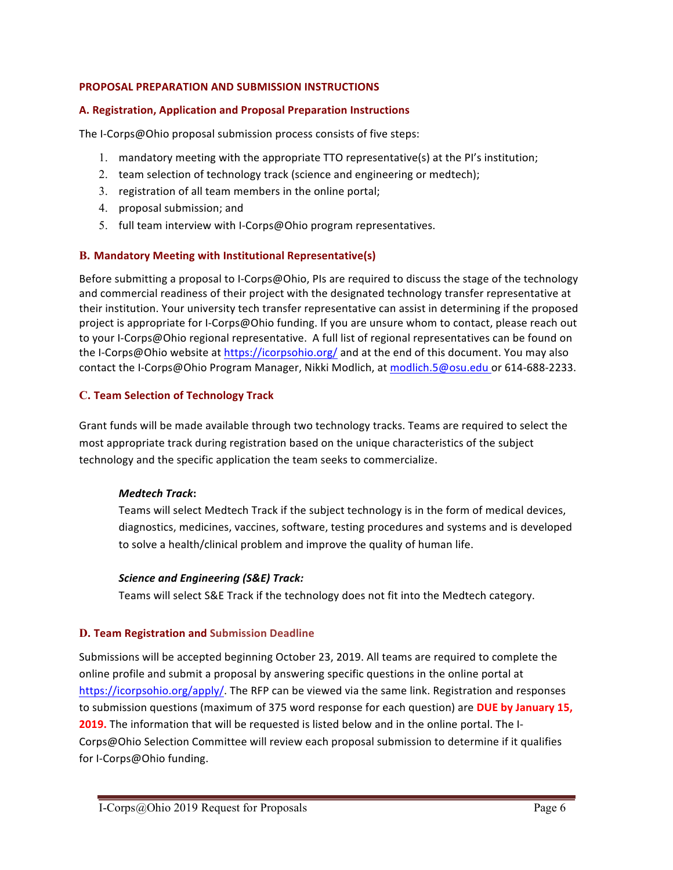# **PROPOSAL PREPARATION AND SUBMISSION INSTRUCTIONS**

## **A.** Registration, Application and Proposal Preparation Instructions

The I-Corps@Ohio proposal submission process consists of five steps:

- 1. mandatory meeting with the appropriate TTO representative(s) at the PI's institution;
- 2. team selection of technology track (science and engineering or medtech);
- 3. registration of all team members in the online portal;
- 4. proposal submission; and
- 5. full team interview with I-Corps@Ohio program representatives.

# **B. Mandatory Meeting with Institutional Representative(s)**

Before submitting a proposal to I-Corps@Ohio, PIs are required to discuss the stage of the technology and commercial readiness of their project with the designated technology transfer representative at their institution. Your university tech transfer representative can assist in determining if the proposed project is appropriate for I-Corps@Ohio funding. If you are unsure whom to contact, please reach out to your I-Corps@Ohio regional representative. A full list of regional representatives can be found on the I-Corps@Ohio website at https://icorpsohio.org/ and at the end of this document. You may also contact the I-Corps@Ohio Program Manager, Nikki Modlich, at modlich.5@osu.edu or 614-688-2233.

# **C. Team Selection of Technology Track**

Grant funds will be made available through two technology tracks. Teams are required to select the most appropriate track during registration based on the unique characteristics of the subject technology and the specific application the team seeks to commercialize.

## *Medtech Track***:**

Teams will select Medtech Track if the subject technology is in the form of medical devices, diagnostics, medicines, vaccines, software, testing procedures and systems and is developed to solve a health/clinical problem and improve the quality of human life.

## *Science and Engineering (S&E) Track:*

Teams will select S&E Track if the technology does not fit into the Medtech category.

## **D. Team Registration and Submission Deadline**

Submissions will be accepted beginning October 23, 2019. All teams are required to complete the online profile and submit a proposal by answering specific questions in the online portal at https://icorpsohio.org/apply/. The RFP can be viewed via the same link. Registration and responses to submission questions (maximum of 375 word response for each question) are **DUE by January 15, 2019.** The information that will be requested is listed below and in the online portal. The I-Corps@Ohio Selection Committee will review each proposal submission to determine if it qualifies for I-Corps@Ohio funding.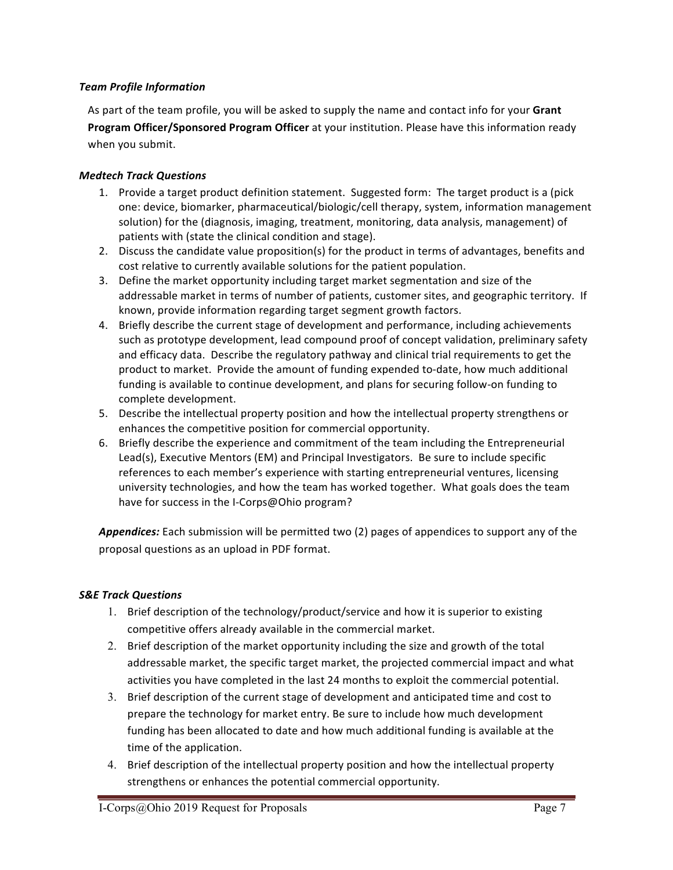# *Team Profile Information*

As part of the team profile, you will be asked to supply the name and contact info for your **Grant Program Officer/Sponsored Program Officer** at your institution. Please have this information ready when you submit.

# *Medtech Track Questions*

- 1. Provide a target product definition statement. Suggested form: The target product is a (pick one: device, biomarker, pharmaceutical/biologic/cell therapy, system, information management solution) for the (diagnosis, imaging, treatment, monitoring, data analysis, management) of patients with (state the clinical condition and stage).
- 2. Discuss the candidate value proposition(s) for the product in terms of advantages, benefits and cost relative to currently available solutions for the patient population.
- 3. Define the market opportunity including target market segmentation and size of the addressable market in terms of number of patients, customer sites, and geographic territory. If known, provide information regarding target segment growth factors.
- 4. Briefly describe the current stage of development and performance, including achievements such as prototype development, lead compound proof of concept validation, preliminary safety and efficacy data. Describe the regulatory pathway and clinical trial requirements to get the product to market. Provide the amount of funding expended to-date, how much additional funding is available to continue development, and plans for securing follow-on funding to complete development.
- 5. Describe the intellectual property position and how the intellectual property strengthens or enhances the competitive position for commercial opportunity.
- 6. Briefly describe the experience and commitment of the team including the Entrepreneurial Lead(s), Executive Mentors (EM) and Principal Investigators. Be sure to include specific references to each member's experience with starting entrepreneurial ventures, licensing university technologies, and how the team has worked together. What goals does the team have for success in the I-Corps@Ohio program?

Appendices: Each submission will be permitted two (2) pages of appendices to support any of the proposal questions as an upload in PDF format.

# *S&E Track Questions*

- 1. Brief description of the technology/product/service and how it is superior to existing competitive offers already available in the commercial market.
- 2. Brief description of the market opportunity including the size and growth of the total addressable market, the specific target market, the projected commercial impact and what activities you have completed in the last 24 months to exploit the commercial potential.
- 3. Brief description of the current stage of development and anticipated time and cost to prepare the technology for market entry. Be sure to include how much development funding has been allocated to date and how much additional funding is available at the time of the application.
- 4. Brief description of the intellectual property position and how the intellectual property strengthens or enhances the potential commercial opportunity.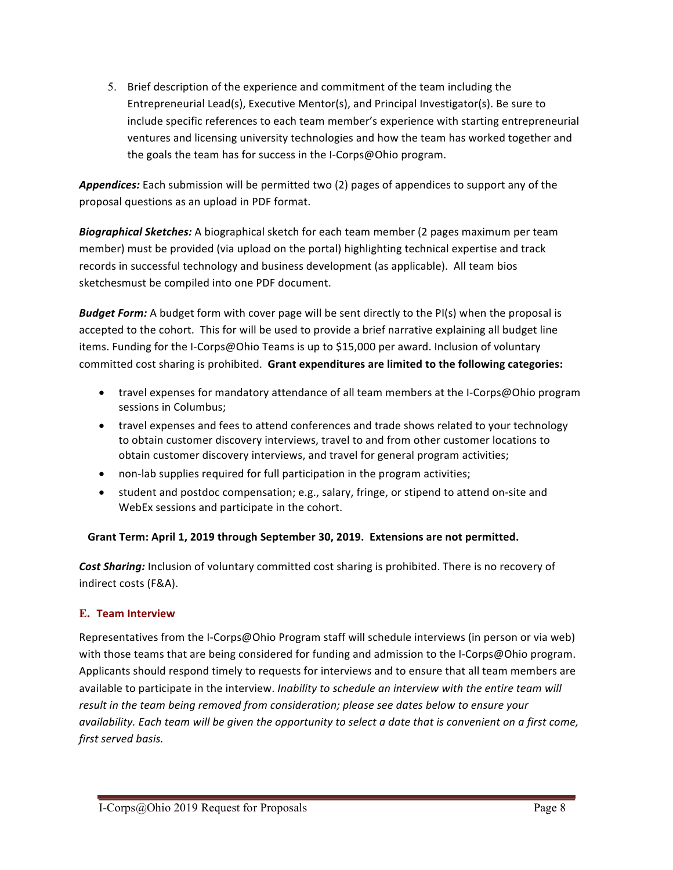5. Brief description of the experience and commitment of the team including the Entrepreneurial Lead(s), Executive Mentor(s), and Principal Investigator(s). Be sure to include specific references to each team member's experience with starting entrepreneurial ventures and licensing university technologies and how the team has worked together and the goals the team has for success in the I-Corps@Ohio program.

**Appendices:** Each submission will be permitted two (2) pages of appendices to support any of the proposal questions as an upload in PDF format.

**Biographical Sketches:** A biographical sketch for each team member (2 pages maximum per team member) must be provided (via upload on the portal) highlighting technical expertise and track records in successful technology and business development (as applicable). All team bios sketchesmust be compiled into one PDF document.

**Budget Form:** A budget form with cover page will be sent directly to the PI(s) when the proposal is accepted to the cohort. This for will be used to provide a brief narrative explaining all budget line items. Funding for the I-Corps@Ohio Teams is up to \$15,000 per award. Inclusion of voluntary committed cost sharing is prohibited. Grant expenditures are limited to the following categories:

- travel expenses for mandatory attendance of all team members at the I-Corps@Ohio program sessions in Columbus;
- travel expenses and fees to attend conferences and trade shows related to your technology to obtain customer discovery interviews, travel to and from other customer locations to obtain customer discovery interviews, and travel for general program activities;
- non-lab supplies required for full participation in the program activities;
- student and postdoc compensation; e.g., salary, fringe, or stipend to attend on-site and WebEx sessions and participate in the cohort.

# Grant Term: April 1, 2019 through September 30, 2019. Extensions are not permitted.

**Cost Sharing:** Inclusion of voluntary committed cost sharing is prohibited. There is no recovery of indirect costs (F&A).

# **E. Team Interview**

Representatives from the I-Corps@Ohio Program staff will schedule interviews (in person or via web) with those teams that are being considered for funding and admission to the I-Corps@Ohio program. Applicants should respond timely to requests for interviews and to ensure that all team members are available to participate in the interview. *Inability to schedule an interview with the entire team will* result in the team being removed from consideration; please see dates below to ensure your *availability.* Each team will be given the opportunity to select a date that is convenient on a first come, *first served basis.*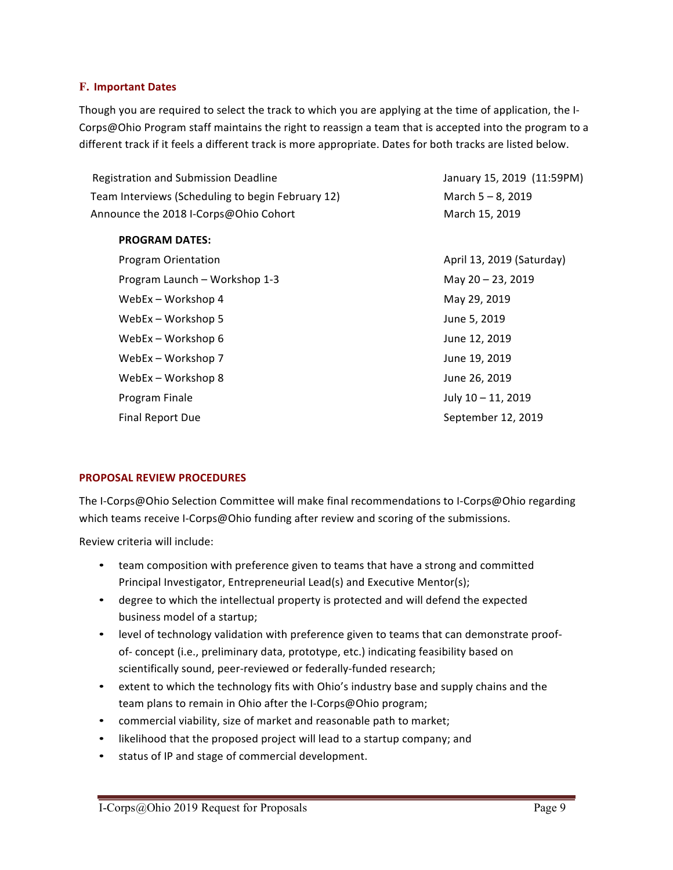# **F. Important Dates**

Though you are required to select the track to which you are applying at the time of application, the I-Corps@Ohio Program staff maintains the right to reassign a team that is accepted into the program to a different track if it feels a different track is more appropriate. Dates for both tracks are listed below.

| <b>Registration and Submission Deadline</b>       | January 15, 2019 (11:59PM) |
|---------------------------------------------------|----------------------------|
| Team Interviews (Scheduling to begin February 12) | March $5 - 8$ , 2019       |
| Announce the 2018 I-Corps@Ohio Cohort             | March 15, 2019             |
| <b>PROGRAM DATES:</b>                             |                            |
| <b>Program Orientation</b>                        | April 13, 2019 (Saturday)  |
| Program Launch - Workshop 1-3                     | May 20 - 23, 2019          |
| WebEx - Workshop 4                                | May 29, 2019               |
| WebEx - Workshop 5                                | June 5, 2019               |
| WebEx - Workshop 6                                | June 12, 2019              |
| WebEx – Workshop 7                                | June 19, 2019              |
| WebEx – Workshop 8                                | June 26, 2019              |
| Program Finale                                    | July 10 - 11, 2019         |
| <b>Final Report Due</b>                           | September 12, 2019         |
|                                                   |                            |

## **PROPOSAL REVIEW PROCEDURES**

The I-Corps@Ohio Selection Committee will make final recommendations to I-Corps@Ohio regarding which teams receive I-Corps@Ohio funding after review and scoring of the submissions.

Review criteria will include:

- team composition with preference given to teams that have a strong and committed Principal Investigator, Entrepreneurial Lead(s) and Executive Mentor(s);
- degree to which the intellectual property is protected and will defend the expected business model of a startup;
- level of technology validation with preference given to teams that can demonstrate proofof- concept (i.e., preliminary data, prototype, etc.) indicating feasibility based on scientifically sound, peer-reviewed or federally-funded research;
- extent to which the technology fits with Ohio's industry base and supply chains and the team plans to remain in Ohio after the I-Corps@Ohio program;
- commercial viability, size of market and reasonable path to market;
- likelihood that the proposed project will lead to a startup company; and
- status of IP and stage of commercial development.